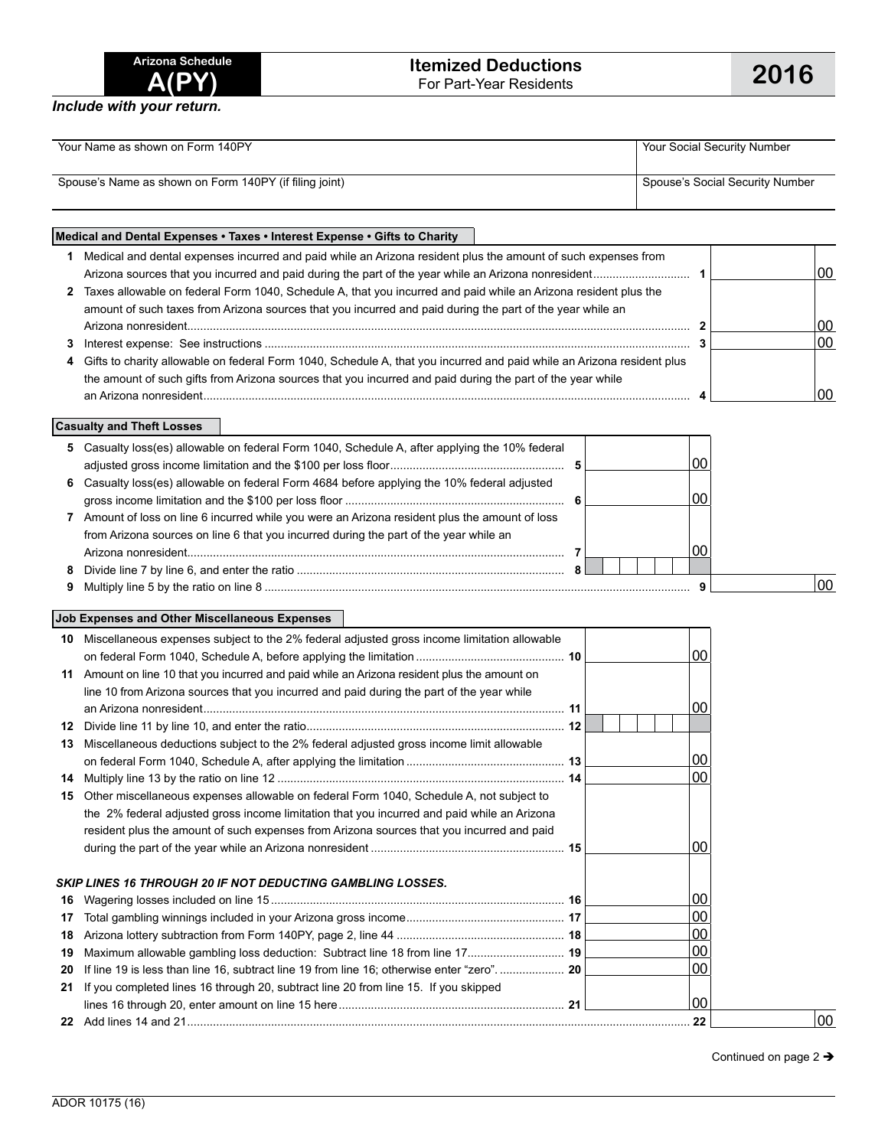| Arizona Schedule |       |  |
|------------------|-------|--|
|                  | A(PY) |  |

*Include with your return.*

| Your Name as shown on Form 140PY                       | Your Social Security Number     |
|--------------------------------------------------------|---------------------------------|
| Spouse's Name as shown on Form 140PY (if filing joint) | Spouse's Social Security Number |

## **Medical and Dental Expenses • Taxes • Interest Expense • Gifts to Charity 1** Medical and dental expenses incurred and paid while an Arizona resident plus the amount of such expenses from Arizona sources that you incurred and paid during the part of the year while an Arizona nonresident.............................. **1** 00 **2** Taxes allowable on federal Form 1040, Schedule A, that you incurred and paid while an Arizona resident plus the amount of such taxes from Arizona sources that you incurred and paid during the part of the year while an Arizona nonresident............................................................................................................................................................ **2** 00 **3** Interest expense: See instructions .................................................................................................................................... **3** 00 **4** Gifts to charity allowable on federal Form 1040, Schedule A, that you incurred and paid while an Arizona resident plus the amount of such gifts from Arizona sources that you incurred and paid during the part of the year while an Arizona nonresident....................................................................................................................................................... **4** 00

**Casualty and Theft Losses**

|    | 5 Casualty loss(es) allowable on federal Form 1040, Schedule A, after applying the 10% federal |  |         |
|----|------------------------------------------------------------------------------------------------|--|---------|
|    |                                                                                                |  |         |
|    | 6 Casualty loss(es) allowable on federal Form 4684 before applying the 10% federal adjusted    |  |         |
|    |                                                                                                |  |         |
| 7  | Amount of loss on line 6 incurred while you were an Arizona resident plus the amount of loss   |  |         |
|    | from Arizona sources on line 6 that you incurred during the part of the year while an          |  |         |
|    |                                                                                                |  |         |
| 8. |                                                                                                |  |         |
|    |                                                                                                |  | $00 \,$ |

## **Job Expenses and Other Miscellaneous Expenses**

| 10 | Miscellaneous expenses subject to the 2% federal adjusted gross income limitation allowable |  |                 |    |
|----|---------------------------------------------------------------------------------------------|--|-----------------|----|
|    |                                                                                             |  | 00              |    |
| 11 | Amount on line 10 that you incurred and paid while an Arizona resident plus the amount on   |  |                 |    |
|    | line 10 from Arizona sources that you incurred and paid during the part of the year while   |  |                 |    |
|    |                                                                                             |  | 00              |    |
| 12 |                                                                                             |  |                 |    |
| 13 | Miscellaneous deductions subject to the 2% federal adjusted gross income limit allowable    |  |                 |    |
|    |                                                                                             |  | $00\,$          |    |
| 14 |                                                                                             |  | $00\,$          |    |
| 15 | Other miscellaneous expenses allowable on federal Form 1040, Schedule A, not subject to     |  |                 |    |
|    | the 2% federal adjusted gross income limitation that you incurred and paid while an Arizona |  |                 |    |
|    | resident plus the amount of such expenses from Arizona sources that you incurred and paid   |  |                 |    |
|    |                                                                                             |  | ΩO              |    |
|    |                                                                                             |  |                 |    |
|    | SKIP LINES 16 THROUGH 20 IF NOT DEDUCTING GAMBLING LOSSES.                                  |  |                 |    |
| 16 |                                                                                             |  | 00              |    |
| 17 |                                                                                             |  | $00\,$          |    |
| 18 |                                                                                             |  | 00              |    |
| 19 | Maximum allowable gambling loss deduction: Subtract line 18 from line 17 19                 |  | $00\,$          |    |
| 20 | If line 19 is less than line 16, subtract line 19 from line 16; otherwise enter "zero" 20   |  | 00 <sub>1</sub> |    |
| 21 | If you completed lines 16 through 20, subtract line 20 from line 15. If you skipped         |  |                 |    |
|    |                                                                                             |  | 00              |    |
|    |                                                                                             |  | . 22            | 00 |

Continued on page 2  $\rightarrow$